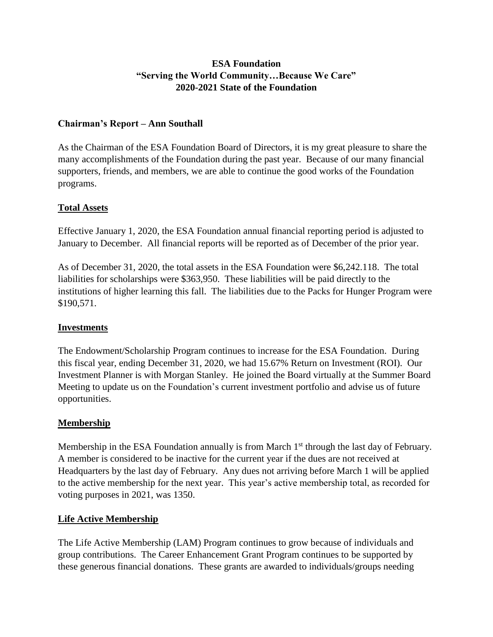## **ESA Foundation "Serving the World Community…Because We Care" 2020-2021 State of the Foundation**

### **Chairman's Report – Ann Southall**

As the Chairman of the ESA Foundation Board of Directors, it is my great pleasure to share the many accomplishments of the Foundation during the past year. Because of our many financial supporters, friends, and members, we are able to continue the good works of the Foundation programs.

#### **Total Assets**

Effective January 1, 2020, the ESA Foundation annual financial reporting period is adjusted to January to December. All financial reports will be reported as of December of the prior year.

As of December 31, 2020, the total assets in the ESA Foundation were \$6,242.118. The total liabilities for scholarships were \$363,950. These liabilities will be paid directly to the institutions of higher learning this fall. The liabilities due to the Packs for Hunger Program were \$190,571.

#### **Investments**

The Endowment/Scholarship Program continues to increase for the ESA Foundation. During this fiscal year, ending December 31, 2020, we had 15.67% Return on Investment (ROI). Our Investment Planner is with Morgan Stanley. He joined the Board virtually at the Summer Board Meeting to update us on the Foundation's current investment portfolio and advise us of future opportunities.

#### **Membership**

Membership in the ESA Foundation annually is from March 1<sup>st</sup> through the last day of February. A member is considered to be inactive for the current year if the dues are not received at Headquarters by the last day of February. Any dues not arriving before March 1 will be applied to the active membership for the next year. This year's active membership total, as recorded for voting purposes in 2021, was 1350.

#### **Life Active Membership**

The Life Active Membership (LAM) Program continues to grow because of individuals and group contributions. The Career Enhancement Grant Program continues to be supported by these generous financial donations. These grants are awarded to individuals/groups needing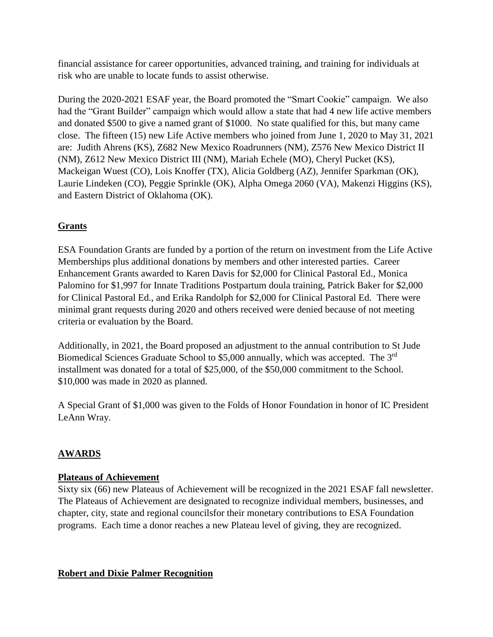financial assistance for career opportunities, advanced training, and training for individuals at risk who are unable to locate funds to assist otherwise.

During the 2020-2021 ESAF year, the Board promoted the "Smart Cookie" campaign. We also had the "Grant Builder" campaign which would allow a state that had 4 new life active members and donated \$500 to give a named grant of \$1000. No state qualified for this, but many came close. The fifteen (15) new Life Active members who joined from June 1, 2020 to May 31, 2021 are: Judith Ahrens (KS), Z682 New Mexico Roadrunners (NM), Z576 New Mexico District II (NM), Z612 New Mexico District III (NM), Mariah Echele (MO), Cheryl Pucket (KS), Mackeigan Wuest (CO), Lois Knoffer (TX), Alicia Goldberg (AZ), Jennifer Sparkman (OK), Laurie Lindeken (CO), Peggie Sprinkle (OK), Alpha Omega 2060 (VA), Makenzi Higgins (KS), and Eastern District of Oklahoma (OK).

# **Grants**

ESA Foundation Grants are funded by a portion of the return on investment from the Life Active Memberships plus additional donations by members and other interested parties. Career Enhancement Grants awarded to Karen Davis for \$2,000 for Clinical Pastoral Ed., Monica Palomino for \$1,997 for Innate Traditions Postpartum doula training, Patrick Baker for \$2,000 for Clinical Pastoral Ed., and Erika Randolph for \$2,000 for Clinical Pastoral Ed. There were minimal grant requests during 2020 and others received were denied because of not meeting criteria or evaluation by the Board.

Additionally, in 2021, the Board proposed an adjustment to the annual contribution to St Jude Biomedical Sciences Graduate School to \$5,000 annually, which was accepted. The 3<sup>rd</sup> installment was donated for a total of \$25,000, of the \$50,000 commitment to the School. \$10,000 was made in 2020 as planned.

A Special Grant of \$1,000 was given to the Folds of Honor Foundation in honor of IC President LeAnn Wray.

# **AWARDS**

## **Plateaus of Achievement**

Sixty six (66) new Plateaus of Achievement will be recognized in the 2021 ESAF fall newsletter. The Plateaus of Achievement are designated to recognize individual members, businesses, and chapter, city, state and regional councilsfor their monetary contributions to ESA Foundation programs. Each time a donor reaches a new Plateau level of giving, they are recognized.

## **Robert and Dixie Palmer Recognition**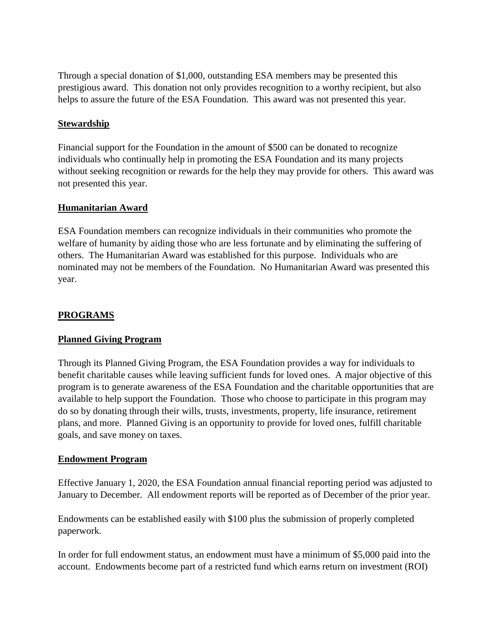Through a special donation of \$1,000, outstanding ESA members may be presented this prestigious award. This donation not only provides recognition to a worthy recipient, but also helps to assure the future of the ESA Foundation. This award was not presented this year.

#### **Stewardship**

Financial support for the Foundation in the amount of \$500 can be donated to recognize individuals who continually help in promoting the ESA Foundation and its many projects without seeking recognition or rewards for the help they may provide for others. This award was not presented this year.

#### **Humanitarian Award**

ESA Foundation members can recognize individuals in their communities who promote the welfare of humanity by aiding those who are less fortunate and by eliminating the suffering of others. The Humanitarian Award was established for this purpose. Individuals who are nominated may not be members of the Foundation. No Humanitarian Award was presented this year.

### **PROGRAMS**

#### **Planned Giving Program**

Through its Planned Giving Program, the ESA Foundation provides a way for individuals to benefit charitable causes while leaving sufficient funds for loved ones. A major objective of this program is to generate awareness of the ESA Foundation and the charitable opportunities that are available to help support the Foundation. Those who choose to participate in this program may do so by donating through their wills, trusts, investments, property, life insurance, retirement plans, and more. Planned Giving is an opportunity to provide for loved ones, fulfill charitable goals, and save money on taxes.

#### **Endowment Program**

Effective January 1, 2020, the ESA Foundation annual financial reporting period was adjusted to January to December. All endowment reports will be reported as of December of the prior year.

Endowments can be established easily with \$100 plus the submission of properly completed paperwork.

In order for full endowment status, an endowment must have a minimum of \$5,000 paid into the account. Endowments become part of a restricted fund which earns return on investment (ROI)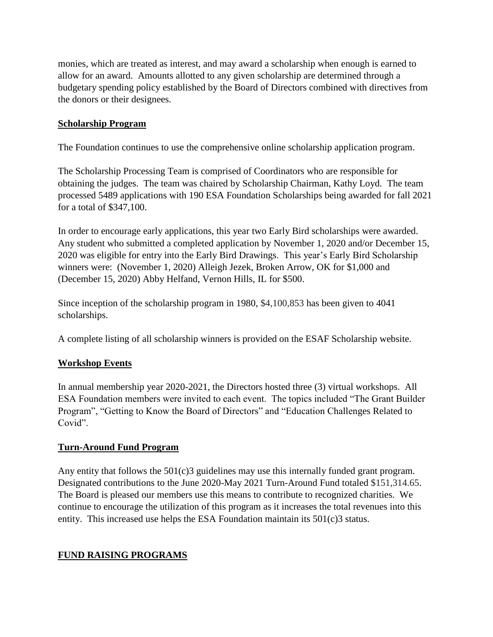monies, which are treated as interest, and may award a scholarship when enough is earned to allow for an award. Amounts allotted to any given scholarship are determined through a budgetary spending policy established by the Board of Directors combined with directives from the donors or their designees.

## **Scholarship Program**

The Foundation continues to use the comprehensive online scholarship application program.

The Scholarship Processing Team is comprised of Coordinators who are responsible for obtaining the judges. The team was chaired by Scholarship Chairman, Kathy Loyd. The team processed 5489 applications with 190 ESA Foundation Scholarships being awarded for fall 2021 for a total of \$347,100.

In order to encourage early applications, this year two Early Bird scholarships were awarded. Any student who submitted a completed application by November 1, 2020 and/or December 15, 2020 was eligible for entry into the Early Bird Drawings. This year's Early Bird Scholarship winners were: (November 1, 2020) Alleigh Jezek, Broken Arrow, OK for \$1,000 and (December 15, 2020) Abby Helfand, Vernon Hills, IL for \$500.

Since inception of the scholarship program in 1980, \$4,100,853 has been given to 4041 scholarships.

A complete listing of all scholarship winners is provided on the ESAF Scholarship website.

## **Workshop Events**

In annual membership year 2020-2021, the Directors hosted three (3) virtual workshops. All ESA Foundation members were invited to each event. The topics included "The Grant Builder Program", "Getting to Know the Board of Directors" and "Education Challenges Related to Covid".

## **Turn-Around Fund Program**

Any entity that follows the 501(c)3 guidelines may use this internally funded grant program. Designated contributions to the June 2020-May 2021 Turn-Around Fund totaled \$151,314.65. The Board is pleased our members use this means to contribute to recognized charities. We continue to encourage the utilization of this program as it increases the total revenues into this entity. This increased use helps the ESA Foundation maintain its 501(c)3 status.

## **FUND RAISING PROGRAMS**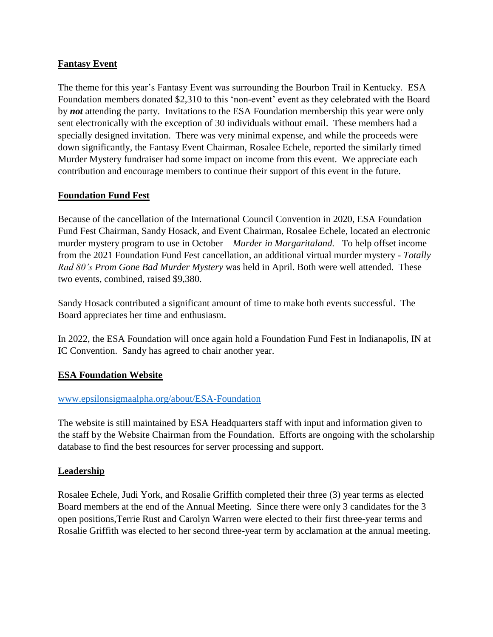## **Fantasy Event**

The theme for this year's Fantasy Event was surrounding the Bourbon Trail in Kentucky. ESA Foundation members donated \$2,310 to this 'non-event' event as they celebrated with the Board by *not* attending the party. Invitations to the ESA Foundation membership this year were only sent electronically with the exception of 30 individuals without email. These members had a specially designed invitation. There was very minimal expense, and while the proceeds were down significantly, the Fantasy Event Chairman, Rosalee Echele, reported the similarly timed Murder Mystery fundraiser had some impact on income from this event. We appreciate each contribution and encourage members to continue their support of this event in the future.

#### **Foundation Fund Fest**

Because of the cancellation of the International Council Convention in 2020, ESA Foundation Fund Fest Chairman, Sandy Hosack, and Event Chairman, Rosalee Echele, located an electronic murder mystery program to use in October – *Murder in Margaritaland.* To help offset income from the 2021 Foundation Fund Fest cancellation, an additional virtual murder mystery - *Totally Rad 80's Prom Gone Bad Murder Mystery* was held in April. Both were well attended. These two events, combined, raised \$9,380.

Sandy Hosack contributed a significant amount of time to make both events successful. The Board appreciates her time and enthusiasm.

In 2022, the ESA Foundation will once again hold a Foundation Fund Fest in Indianapolis, IN at IC Convention. Sandy has agreed to chair another year.

## **ESA Foundation Website**

#### [www.epsilonsigmaalpha.org/about/ESA-Foundation](http://www.epsilonsigmaalpha.org/about/ESA-Foundation)

The website is still maintained by ESA Headquarters staff with input and information given to the staff by the Website Chairman from the Foundation. Efforts are ongoing with the scholarship database to find the best resources for server processing and support.

#### **Leadership**

Rosalee Echele, Judi York, and Rosalie Griffith completed their three (3) year terms as elected Board members at the end of the Annual Meeting. Since there were only 3 candidates for the 3 open positions,Terrie Rust and Carolyn Warren were elected to their first three-year terms and Rosalie Griffith was elected to her second three-year term by acclamation at the annual meeting.